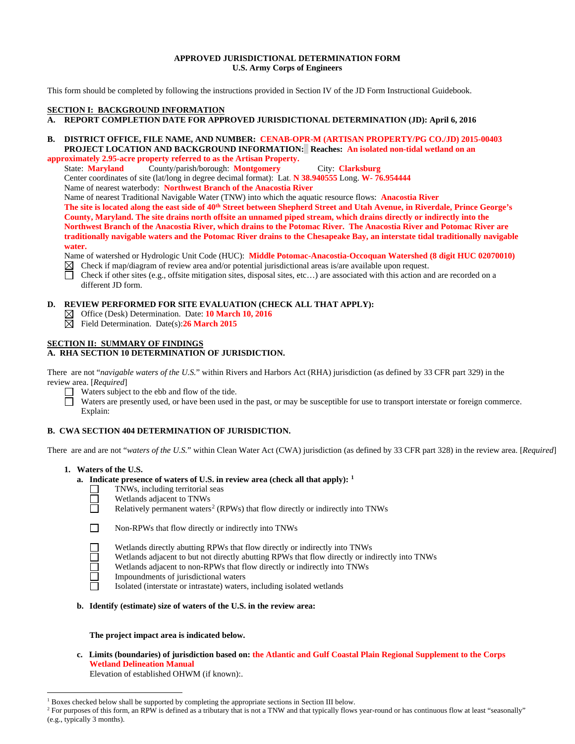#### **APPROVED JURISDICTIONAL DETERMINATION FORM U.S. Army Corps of Engineers**

This form should be completed by following the instructions provided in Section IV of the JD Form Instructional Guidebook.

# **SECTION I: BACKGROUND INFORMATION**

# **A. REPORT COMPLETION DATE FOR APPROVED JURISDICTIONAL DETERMINATION (JD): April 6, 2016**

#### **B. DISTRICT OFFICE, FILE NAME, AND NUMBER: CENAB-OPR-M (ARTISAN PROPERTY/PG CO./JD) 2015-00403 PROJECT LOCATION AND BACKGROUND INFORMATION: Reaches: An isolated non-tidal wetland on an approximately 2.95-acre property referred to as the Artisan Property.**

State: **Maryland** County/parish/borough: **Montgomery** City: **Clarksburg** Center coordinates of site (lat/long in degree decimal format): Lat. **N 38.940555** Long. **W- 76.954444**

Name of nearest waterbody: **Northwest Branch of the Anacostia River**

Name of nearest Traditional Navigable Water (TNW) into which the aquatic resource flows: **Anacostia River The site is located along the east side of 40th Street between Shepherd Street and Utah Avenue, in Riverdale, Prince George's County, Maryland. The site drains north offsite an unnamed piped stream, which drains directly or indirectly into the Northwest Branch of the Anacostia River, which drains to the Potomac River. The Anacostia River and Potomac River are traditionally navigable waters and the Potomac River drains to the Chesapeake Bay, an interstate tidal traditionally navigable water.** 

Name of watershed or Hydrologic Unit Code (HUC): **Middle Potomac-Anacostia-Occoquan Watershed (8 digit HUC 02070010)**

- $\boxtimes$  Check if map/diagram of review area and/or potential jurisdictional areas is/are available upon request.
- Check if other sites (e.g., offsite mitigation sites, disposal sites, etc…) are associated with this action and are recorded on a different JD form.

### **D. REVIEW PERFORMED FOR SITE EVALUATION (CHECK ALL THAT APPLY):**

- Office (Desk) Determination. Date: **10 March 10, 2016**
- Field Determination. Date(s):**26 March 2015**

# **SECTION II: SUMMARY OF FINDINGS**

# **A. RHA SECTION 10 DETERMINATION OF JURISDICTION.**

There are not "*navigable waters of the U.S.*" within Rivers and Harbors Act (RHA) jurisdiction (as defined by 33 CFR part 329) in the review area. [*Required*]

- Waters subject to the ebb and flow of the tide.
	- Waters are presently used, or have been used in the past, or may be susceptible for use to transport interstate or foreign commerce. Explain:

# **B. CWA SECTION 404 DETERMINATION OF JURISDICTION.**

There are and are not "*waters of the U.S.*" within Clean Water Act (CWA) jurisdiction (as defined by 33 CFR part 328) in the review area. [*Required*]

# **1. Waters of the U.S.**

# **a. Indicate presence of waters of U.S. in review area (check all that apply): [1](#page-0-0)**

- П TNWs, including territorial seas
- П Wetlands adjacent to TNWs
	- Relatively permanent waters<sup>[2](#page-0-1)</sup> (RPWs) that flow directly or indirectly into TNWs

П

Non-RPWs that flow directly or indirectly into TNWs

- Wetlands directly abutting RPWs that flow directly or indirectly into TNWs
- Wetlands adjacent to but not directly abutting RPWs that flow directly or indirectly into TNWs
- Wetlands adjacent to non-RPWs that flow directly or indirectly into TNWs
- Impoundments of jurisdictional waters
- Isolated (interstate or intrastate) waters, including isolated wetlands

# **b. Identify (estimate) size of waters of the U.S. in the review area:**

#### **The project impact area is indicated below.**

**c. Limits (boundaries) of jurisdiction based on: the Atlantic and Gulf Coastal Plain Regional Supplement to the Corps Wetland Delineation Manual**

Elevation of established OHWM (if known):.

<sup>&</sup>lt;sup>1</sup> Boxes checked below shall be supported by completing the appropriate sections in Section III below.

<span id="page-0-1"></span><span id="page-0-0"></span><sup>&</sup>lt;sup>2</sup> For purposes of this form, an RPW is defined as a tributary that is not a TNW and that typically flows year-round or has continuous flow at least "seasonally" (e.g., typically 3 months).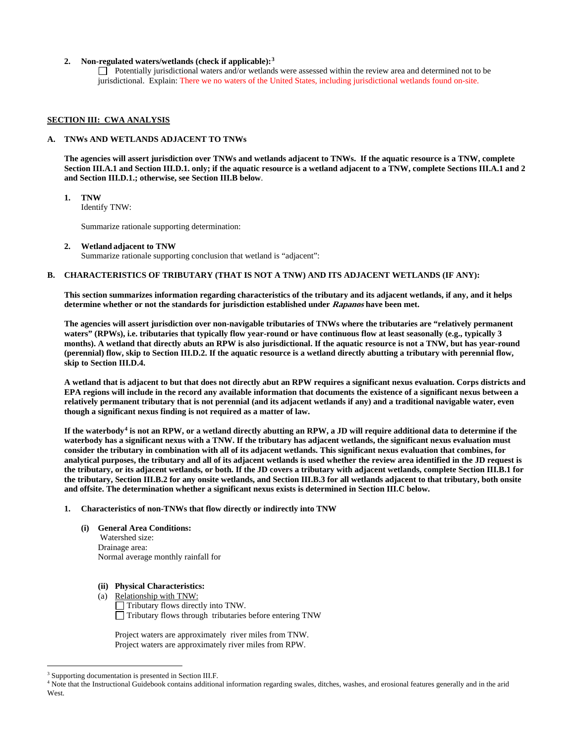### **2. Non-regulated waters/wetlands (check if applicable):[3](#page-1-0)**

Potentially jurisdictional waters and/or wetlands were assessed within the review area and determined not to be jurisdictional. Explain: There we no waters of the United States, including jurisdictional wetlands found on-site.

#### **SECTION III: CWA ANALYSIS**

#### **A. TNWs AND WETLANDS ADJACENT TO TNWs**

**The agencies will assert jurisdiction over TNWs and wetlands adjacent to TNWs. If the aquatic resource is a TNW, complete Section III.A.1 and Section III.D.1. only; if the aquatic resource is a wetland adjacent to a TNW, complete Sections III.A.1 and 2 and Section III.D.1.; otherwise, see Section III.B below**.

# **1. TNW**

Identify TNW:

Summarize rationale supporting determination:

**2. Wetland adjacent to TNW**  Summarize rationale supporting conclusion that wetland is "adjacent":

### **B. CHARACTERISTICS OF TRIBUTARY (THAT IS NOT A TNW) AND ITS ADJACENT WETLANDS (IF ANY):**

**This section summarizes information regarding characteristics of the tributary and its adjacent wetlands, if any, and it helps determine whether or not the standards for jurisdiction established under Rapanos have been met.** 

**The agencies will assert jurisdiction over non-navigable tributaries of TNWs where the tributaries are "relatively permanent waters" (RPWs), i.e. tributaries that typically flow year-round or have continuous flow at least seasonally (e.g., typically 3 months). A wetland that directly abuts an RPW is also jurisdictional. If the aquatic resource is not a TNW, but has year-round (perennial) flow, skip to Section III.D.2. If the aquatic resource is a wetland directly abutting a tributary with perennial flow, skip to Section III.D.4.** 

**A wetland that is adjacent to but that does not directly abut an RPW requires a significant nexus evaluation. Corps districts and EPA regions will include in the record any available information that documents the existence of a significant nexus between a relatively permanent tributary that is not perennial (and its adjacent wetlands if any) and a traditional navigable water, even though a significant nexus finding is not required as a matter of law.**

**If the waterbody[4](#page-1-1) is not an RPW, or a wetland directly abutting an RPW, a JD will require additional data to determine if the waterbody has a significant nexus with a TNW. If the tributary has adjacent wetlands, the significant nexus evaluation must consider the tributary in combination with all of its adjacent wetlands. This significant nexus evaluation that combines, for analytical purposes, the tributary and all of its adjacent wetlands is used whether the review area identified in the JD request is the tributary, or its adjacent wetlands, or both. If the JD covers a tributary with adjacent wetlands, complete Section III.B.1 for the tributary, Section III.B.2 for any onsite wetlands, and Section III.B.3 for all wetlands adjacent to that tributary, both onsite and offsite. The determination whether a significant nexus exists is determined in Section III.C below.**

#### **1. Characteristics of non-TNWs that flow directly or indirectly into TNW**

**(i) General Area Conditions:**

 Watershed size: Drainage area: Normal average monthly rainfall for

- **(ii) Physical Characteristics:**
- (a) Relationship with TNW:

Tributary flows directly into TNW.  $\Box$  Tributary flows through tributaries before entering TNW

Project waters are approximately river miles from TNW. Project waters are approximately river miles from RPW.

<span id="page-1-0"></span><sup>&</sup>lt;sup>3</sup> Supporting documentation is presented in Section III.F.

<span id="page-1-1"></span><sup>4</sup> Note that the Instructional Guidebook contains additional information regarding swales, ditches, washes, and erosional features generally and in the arid West.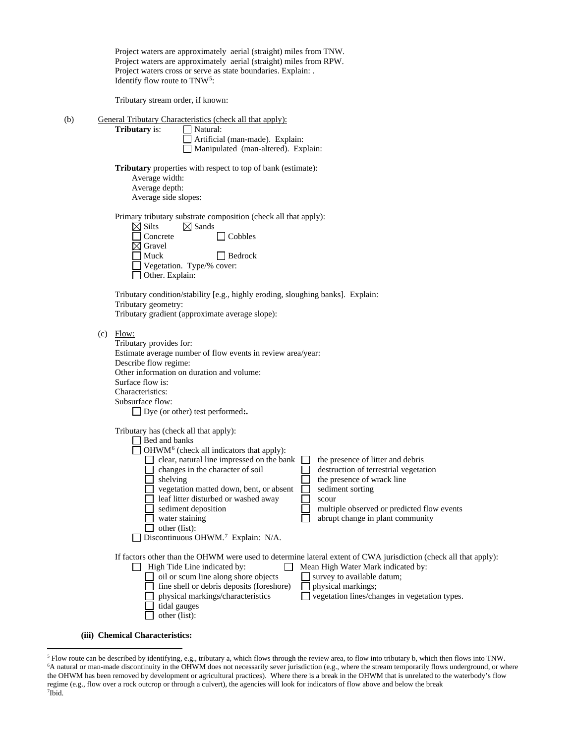|     | Project waters are approximately aerial (straight) miles from TNW.<br>Project waters are approximately aerial (straight) miles from RPW.<br>Project waters cross or serve as state boundaries. Explain: .<br>Identify flow route to TNW <sup>5</sup> :                                                                                                                                                                                                                                                                                                                                                                   |
|-----|--------------------------------------------------------------------------------------------------------------------------------------------------------------------------------------------------------------------------------------------------------------------------------------------------------------------------------------------------------------------------------------------------------------------------------------------------------------------------------------------------------------------------------------------------------------------------------------------------------------------------|
|     | Tributary stream order, if known:                                                                                                                                                                                                                                                                                                                                                                                                                                                                                                                                                                                        |
| (b) | General Tributary Characteristics (check all that apply):<br><b>Tributary</b> is:<br>Natural:<br>Artificial (man-made). Explain:<br>Manipulated (man-altered). Explain:                                                                                                                                                                                                                                                                                                                                                                                                                                                  |
|     | <b>Tributary</b> properties with respect to top of bank (estimate):<br>Average width:<br>Average depth:<br>Average side slopes:                                                                                                                                                                                                                                                                                                                                                                                                                                                                                          |
|     | Primary tributary substrate composition (check all that apply):<br>$\boxtimes$ Silts<br>$\boxtimes$ Sands<br>$\Box$ Cobbles<br>Concrete<br>$\boxtimes$ Gravel<br>Muck<br>$\sqcap$ Bedrock<br>Vegetation. Type/% cover:<br>Other. Explain:                                                                                                                                                                                                                                                                                                                                                                                |
|     | Tributary condition/stability [e.g., highly eroding, sloughing banks]. Explain:<br>Tributary geometry:<br>Tributary gradient (approximate average slope):                                                                                                                                                                                                                                                                                                                                                                                                                                                                |
|     | $(c)$ Flow:<br>Tributary provides for:<br>Estimate average number of flow events in review area/year:<br>Describe flow regime:<br>Other information on duration and volume:<br>Surface flow is:<br>Characteristics:<br>Subsurface flow:<br>$\Box$ Dye (or other) test performed:.                                                                                                                                                                                                                                                                                                                                        |
|     | Tributary has (check all that apply):<br>Bed and banks<br>OHWM <sup>6</sup> (check all indicators that apply):<br>clear, natural line impressed on the bank   the presence of litter and debris<br>destruction of terrestrial vegetation<br>changes in the character of soil<br>the presence of wrack line<br>shelving<br>vegetation matted down, bent, or absent<br>sediment sorting<br>leaf litter disturbed or washed away<br>scour<br>sediment deposition<br>multiple observed or predicted flow events<br>water staining<br>abrupt change in plant community<br>other (list):<br>Discontinuous OHWM.7 Explain: N/A. |
|     | If factors other than the OHWM were used to determine lateral extent of CWA jurisdiction (check all that apply):<br>High Tide Line indicated by:<br>Mean High Water Mark indicated by:<br>oil or scum line along shore objects<br>survey to available datum;<br>fine shell or debris deposits (foreshore)<br>physical markings;<br>physical markings/characteristics<br>vegetation lines/changes in vegetation types.<br>tidal gauges<br>other (list):                                                                                                                                                                   |

**(iii) Chemical Characteristics:**

<span id="page-2-2"></span><span id="page-2-1"></span><span id="page-2-0"></span> <sup>5</sup> Flow route can be described by identifying, e.g., tributary a, which flows through the review area, to flow into tributary b, which then flows into TNW. 6 A natural or man-made discontinuity in the OHWM does not necessarily sever jurisdiction (e.g., where the stream temporarily flows underground, or where the OHWM has been removed by development or agricultural practices). Where there is a break in the OHWM that is unrelated to the waterbody's flow regime (e.g., flow over a rock outcrop or through a culvert), the agencies will look for indicators of flow above and below the break 7 Ibid.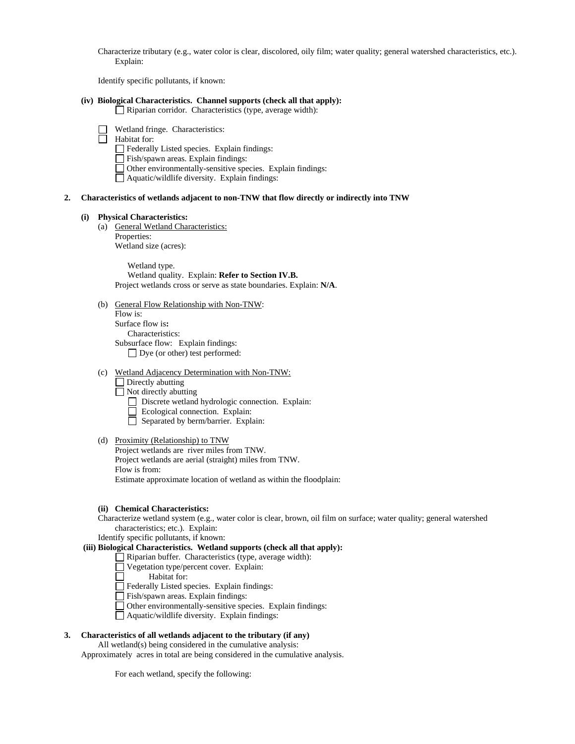Characterize tributary (e.g., water color is clear, discolored, oily film; water quality; general watershed characteristics, etc.). Explain:

Identify specific pollutants, if known:

## **(iv) Biological Characteristics. Channel supports (check all that apply):**

Riparian corridor. Characteristics (type, average width):

Wetland fringe. Characteristics:

Habitat for:

- Federally Listed species. Explain findings:
- Fish/spawn areas. Explain findings:
- Other environmentally-sensitive species. Explain findings:
- Aquatic/wildlife diversity. Explain findings:

### **2. Characteristics of wetlands adjacent to non-TNW that flow directly or indirectly into TNW**

#### **(i) Physical Characteristics:**

(a) General Wetland Characteristics: Properties: Wetland size (acres):

> Wetland type. Wetland quality. Explain: **Refer to Section IV.B.** Project wetlands cross or serve as state boundaries. Explain: **N/A**.

(b) General Flow Relationship with Non-TNW:

Flow is: Surface flow is**:**  Characteristics: Subsurface flow: Explain findings: Dye (or other) test performed:

#### (c) Wetland Adjacency Determination with Non-TNW:

 $\Box$  Directly abutting

 $\Box$  Not directly abutting

- Discrete wetland hydrologic connection. Explain:
- Ecological connection. Explain:
- Separated by berm/barrier. Explain:

#### (d) Proximity (Relationship) to TNW

Project wetlands are river miles from TNW. Project wetlands are aerial (straight) miles from TNW. Flow is from: Estimate approximate location of wetland as within the floodplain:

#### **(ii) Chemical Characteristics:**

Characterize wetland system (e.g., water color is clear, brown, oil film on surface; water quality; general watershed characteristics; etc.). Explain:

Identify specific pollutants, if known:

# **(iii) Biological Characteristics. Wetland supports (check all that apply):**

- Riparian buffer. Characteristics (type, average width):
- Vegetation type/percent cover. Explain:
	- Habitat for:

П

- Federally Listed species. Explain findings:
- Fish/spawn areas. Explain findings:
- Other environmentally-sensitive species. Explain findings:
- Aquatic/wildlife diversity. Explain findings:

# **3. Characteristics of all wetlands adjacent to the tributary (if any)**

All wetland(s) being considered in the cumulative analysis:

Approximately acres in total are being considered in the cumulative analysis.

For each wetland, specify the following: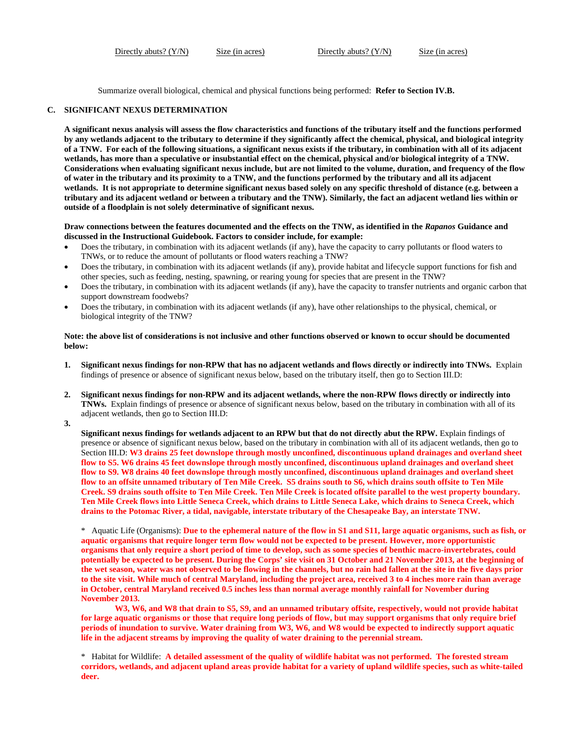Directly abuts? (Y/N) Size (in acres) Directly abuts? (Y/N) Size (in acres)

Summarize overall biological, chemical and physical functions being performed: **Refer to Section IV.B.**

#### **C. SIGNIFICANT NEXUS DETERMINATION**

**A significant nexus analysis will assess the flow characteristics and functions of the tributary itself and the functions performed by any wetlands adjacent to the tributary to determine if they significantly affect the chemical, physical, and biological integrity of a TNW. For each of the following situations, a significant nexus exists if the tributary, in combination with all of its adjacent wetlands, has more than a speculative or insubstantial effect on the chemical, physical and/or biological integrity of a TNW. Considerations when evaluating significant nexus include, but are not limited to the volume, duration, and frequency of the flow of water in the tributary and its proximity to a TNW, and the functions performed by the tributary and all its adjacent wetlands. It is not appropriate to determine significant nexus based solely on any specific threshold of distance (e.g. between a tributary and its adjacent wetland or between a tributary and the TNW). Similarly, the fact an adjacent wetland lies within or outside of a floodplain is not solely determinative of significant nexus.** 

**Draw connections between the features documented and the effects on the TNW, as identified in the** *Rapanos* **Guidance and discussed in the Instructional Guidebook. Factors to consider include, for example:**

- Does the tributary, in combination with its adjacent wetlands (if any), have the capacity to carry pollutants or flood waters to TNWs, or to reduce the amount of pollutants or flood waters reaching a TNW?
- Does the tributary, in combination with its adjacent wetlands (if any), provide habitat and lifecycle support functions for fish and other species, such as feeding, nesting, spawning, or rearing young for species that are present in the TNW?
- Does the tributary, in combination with its adjacent wetlands (if any), have the capacity to transfer nutrients and organic carbon that support downstream foodwebs?
- Does the tributary, in combination with its adjacent wetlands (if any), have other relationships to the physical, chemical, or biological integrity of the TNW?

### **Note: the above list of considerations is not inclusive and other functions observed or known to occur should be documented below:**

- **1. Significant nexus findings for non-RPW that has no adjacent wetlands and flows directly or indirectly into TNWs.** Explain findings of presence or absence of significant nexus below, based on the tributary itself, then go to Section III.D:
- **2. Significant nexus findings for non-RPW and its adjacent wetlands, where the non-RPW flows directly or indirectly into TNWs.** Explain findings of presence or absence of significant nexus below, based on the tributary in combination with all of its adjacent wetlands, then go to Section III.D:

**3.**

**Significant nexus findings for wetlands adjacent to an RPW but that do not directly abut the RPW.** Explain findings of presence or absence of significant nexus below, based on the tributary in combination with all of its adjacent wetlands, then go to Section III.D: **W3 drains 25 feet downslope through mostly unconfined, discontinuous upland drainages and overland sheet flow to S5. W6 drains 45 feet downslope through mostly unconfined, discontinuous upland drainages and overland sheet flow to S9. W8 drains 40 feet downslope through mostly unconfined, discontinuous upland drainages and overland sheet flow to an offsite unnamed tributary of Ten Mile Creek. S5 drains south to S6, which drains south offsite to Ten Mile Creek. S9 drains south offsite to Ten Mile Creek. Ten Mile Creek is located offsite parallel to the west property boundary. Ten Mile Creek flows into Little Seneca Creek, which drains to Little Seneca Lake, which drains to Seneca Creek, which drains to the Potomac River, a tidal, navigable, interstate tributary of the Chesapeake Bay, an interstate TNW.**

\* Aquatic Life (Organisms): **Due to the ephemeral nature of the flow in S1 and S11, large aquatic organisms, such as fish, or aquatic organisms that require longer term flow would not be expected to be present. However, more opportunistic organisms that only require a short period of time to develop, such as some species of benthic macro-invertebrates, could potentially be expected to be present. During the Corps' site visit on 31 October and 21 November 2013, at the beginning of the wet season, water was not observed to be flowing in the channels, but no rain had fallen at the site in the five days prior to the site visit. While much of central Maryland, including the project area, received 3 to 4 inches more rain than average in October, central Maryland received 0.5 inches less than normal average monthly rainfall for November during November 2013.** 

**W3, W6, and W8 that drain to S5, S9, and an unnamed tributary offsite, respectively, would not provide habitat for large aquatic organisms or those that require long periods of flow, but may support organisms that only require brief periods of inundation to survive. Water draining from W3, W6, and W8 would be expected to indirectly support aquatic life in the adjacent streams by improving the quality of water draining to the perennial stream.**

<sup>\*</sup> Habitat for Wildlife: **A detailed assessment of the quality of wildlife habitat was not performed. The forested stream corridors, wetlands, and adjacent upland areas provide habitat for a variety of upland wildlife species, such as white-tailed deer.**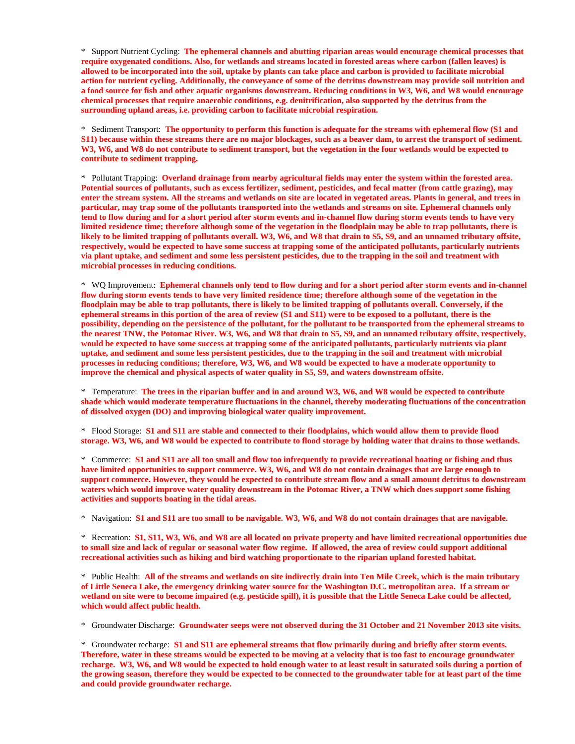\* Support Nutrient Cycling: **The ephemeral channels and abutting riparian areas would encourage chemical processes that require oxygenated conditions. Also, for wetlands and streams located in forested areas where carbon (fallen leaves) is allowed to be incorporated into the soil, uptake by plants can take place and carbon is provided to facilitate microbial action for nutrient cycling. Additionally, the conveyance of some of the detritus downstream may provide soil nutrition and a food source for fish and other aquatic organisms downstream. Reducing conditions in W3, W6, and W8 would encourage chemical processes that require anaerobic conditions, e.g. denitrification, also supported by the detritus from the surrounding upland areas, i.e. providing carbon to facilitate microbial respiration.**

\* Sediment Transport: **The opportunity to perform this function is adequate for the streams with ephemeral flow (S1 and S11) because within these streams there are no major blockages, such as a beaver dam, to arrest the transport of sediment. W3, W6, and W8 do not contribute to sediment transport, but the vegetation in the four wetlands would be expected to contribute to sediment trapping.**

\* Pollutant Trapping: **Overland drainage from nearby agricultural fields may enter the system within the forested area. Potential sources of pollutants, such as excess fertilizer, sediment, pesticides, and fecal matter (from cattle grazing), may enter the stream system. All the streams and wetlands on site are located in vegetated areas. Plants in general, and trees in particular, may trap some of the pollutants transported into the wetlands and streams on site. Ephemeral channels only tend to flow during and for a short period after storm events and in-channel flow during storm events tends to have very limited residence time; therefore although some of the vegetation in the floodplain may be able to trap pollutants, there is likely to be limited trapping of pollutants overall. W3, W6, and W8 that drain to S5, S9, and an unnamed tributary offsite, respectively, would be expected to have some success at trapping some of the anticipated pollutants, particularly nutrients via plant uptake, and sediment and some less persistent pesticides, due to the trapping in the soil and treatment with microbial processes in reducing conditions.**

\* WQ Improvement: **Ephemeral channels only tend to flow during and for a short period after storm events and in-channel flow during storm events tends to have very limited residence time; therefore although some of the vegetation in the floodplain may be able to trap pollutants, there is likely to be limited trapping of pollutants overall. Conversely, if the ephemeral streams in this portion of the area of review (S1 and S11) were to be exposed to a pollutant, there is the possibility, depending on the persistence of the pollutant, for the pollutant to be transported from the ephemeral streams to the nearest TNW, the Potomac River. W3, W6, and W8 that drain to S5, S9, and an unnamed tributary offsite, respectively, would be expected to have some success at trapping some of the anticipated pollutants, particularly nutrients via plant uptake, and sediment and some less persistent pesticides, due to the trapping in the soil and treatment with microbial processes in reducing conditions; therefore, W3, W6, and W8 would be expected to have a moderate opportunity to improve the chemical and physical aspects of water quality in S5, S9, and waters downstream offsite.** 

\* Temperature: **The trees in the riparian buffer and in and around W3, W6, and W8 would be expected to contribute shade which would moderate temperature fluctuations in the channel, thereby moderating fluctuations of the concentration of dissolved oxygen (DO) and improving biological water quality improvement.**

\* Flood Storage: **S1 and S11 are stable and connected to their floodplains, which would allow them to provide flood storage. W3, W6, and W8 would be expected to contribute to flood storage by holding water that drains to those wetlands.** 

\* Commerce: **S1 and S11 are all too small and flow too infrequently to provide recreational boating or fishing and thus have limited opportunities to support commerce. W3, W6, and W8 do not contain drainages that are large enough to support commerce. However, they would be expected to contribute stream flow and a small amount detritus to downstream waters which would improve water quality downstream in the Potomac River, a TNW which does support some fishing activities and supports boating in the tidal areas.** 

\* Navigation: **S1 and S11 are too small to be navigable. W3, W6, and W8 do not contain drainages that are navigable.** 

\* Recreation: **S1, S11, W3, W6, and W8 are all located on private property and have limited recreational opportunities due to small size and lack of regular or seasonal water flow regime. If allowed, the area of review could support additional recreational activities such as hiking and bird watching proportionate to the riparian upland forested habitat.** 

\* Public Health: **All of the streams and wetlands on site indirectly drain into Ten Mile Creek, which is the main tributary of Little Seneca Lake, the emergency drinking water source for the Washington D.C. metropolitan area. If a stream or wetland on site were to become impaired (e.g. pesticide spill), it is possible that the Little Seneca Lake could be affected, which would affect public health.** 

\* Groundwater Discharge: **Groundwater seeps were not observed during the 31 October and 21 November 2013 site visits.**

\* Groundwater recharge: **S1 and S11 are ephemeral streams that flow primarily during and briefly after storm events. Therefore, water in these streams would be expected to be moving at a velocity that is too fast to encourage groundwater recharge. W3, W6, and W8 would be expected to hold enough water to at least result in saturated soils during a portion of the growing season, therefore they would be expected to be connected to the groundwater table for at least part of the time and could provide groundwater recharge.**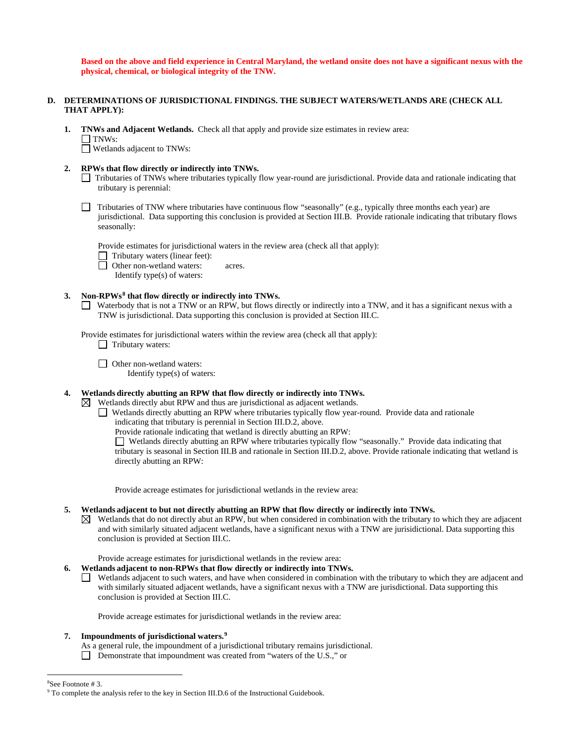**Based on the above and field experience in Central Maryland, the wetland onsite does not have a significant nexus with the physical, chemical, or biological integrity of the TNW.** 

#### **D. DETERMINATIONS OF JURISDICTIONAL FINDINGS. THE SUBJECT WATERS/WETLANDS ARE (CHECK ALL THAT APPLY):**

**1. TNWs and Adjacent Wetlands.** Check all that apply and provide size estimates in review area:  $\Box$  TNWs:

Wetlands adjacent to TNWs:

- **2. RPWs that flow directly or indirectly into TNWs.**
	- Tributaries of TNWs where tributaries typically flow year-round are jurisdictional. Provide data and rationale indicating that tributary is perennial:
	- Tributaries of TNW where tributaries have continuous flow "seasonally" (e.g., typically three months each year) are jurisdictional. Data supporting this conclusion is provided at Section III.B. Provide rationale indicating that tributary flows seasonally:

Provide estimates for jurisdictional waters in the review area (check all that apply):

- $\Box$  Tributary waters (linear feet):
- □ Other non-wetland waters: acres.
	- Identify type(s) of waters:

### **3. Non-RPWs[8](#page-6-0) that flow directly or indirectly into TNWs.**

Waterbody that is not a TNW or an RPW, but flows directly or indirectly into a TNW, and it has a significant nexus with a TNW is jurisdictional. Data supporting this conclusion is provided at Section III.C.

Provide estimates for jurisdictional waters within the review area (check all that apply):  $\Box$  Tributary waters:

□ Other non-wetland waters:

Identify type(s) of waters:

# **4. Wetlands directly abutting an RPW that flow directly or indirectly into TNWs.**

 $\boxtimes$  Wetlands directly abut RPW and thus are jurisdictional as adjacent wetlands.

Wetlands directly abutting an RPW where tributaries typically flow year-round. Provide data and rationale

indicating that tributary is perennial in Section III.D.2, above.

Provide rationale indicating that wetland is directly abutting an RPW:

Wetlands directly abutting an RPW where tributaries typically flow "seasonally." Provide data indicating that tributary is seasonal in Section III.B and rationale in Section III.D.2, above. Provide rationale indicating that wetland is directly abutting an RPW:

Provide acreage estimates for jurisdictional wetlands in the review area:

## **5. Wetlands adjacent to but not directly abutting an RPW that flow directly or indirectly into TNWs.**

 $\boxtimes$  Wetlands that do not directly abut an RPW, but when considered in combination with the tributary to which they are adjacent and with similarly situated adjacent wetlands, have a significant nexus with a TNW are jurisidictional. Data supporting this conclusion is provided at Section III.C.

# Provide acreage estimates for jurisdictional wetlands in the review area:

**6. Wetlands adjacent to non-RPWs that flow directly or indirectly into TNWs.** 

Wetlands adjacent to such waters, and have when considered in combination with the tributary to which they are adjacent and with similarly situated adjacent wetlands, have a significant nexus with a TNW are jurisdictional. Data supporting this conclusion is provided at Section III.C.

Provide acreage estimates for jurisdictional wetlands in the review area:

## **7. Impoundments of jurisdictional waters.[9](#page-6-1)**

- As a general rule, the impoundment of a jurisdictional tributary remains jurisdictional.
- Demonstrate that impoundment was created from "waters of the U.S.," or

8

<span id="page-6-1"></span><span id="page-6-0"></span><sup>&</sup>lt;sup>8</sup>See Footnote # 3.<br><sup>9</sup> To complete the analysis refer to the key in Section III.D.6 of the Instructional Guidebook.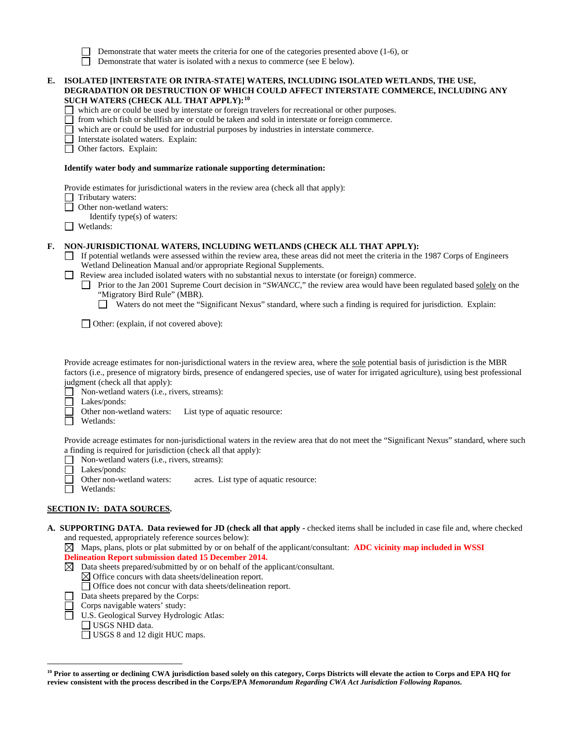| Demonstrate that water meets the criteria for one of the categories presented above $(1-6)$ , or |  |  |
|--------------------------------------------------------------------------------------------------|--|--|
|--------------------------------------------------------------------------------------------------|--|--|

ñ Demonstrate that water is isolated with a nexus to commerce (see E below).

| E. | ISOLATED [INTERSTATE OR INTRA-STATE] WATERS, INCLUDING ISOLATED WETLANDS, THE USE,<br>DEGRADATION OR DESTRUCTION OF WHICH COULD AFFECT INTERSTATE COMMERCE, INCLUDING ANY<br>SUCH WATERS (CHECK ALL THAT APPLY): <sup>10</sup><br>which are or could be used by interstate or foreign travelers for recreational or other purposes.<br>from which fish or shellfish are or could be taken and sold in interstate or foreign commerce.<br>which are or could be used for industrial purposes by industries in interstate commerce.<br>Interstate isolated waters. Explain:<br>Other factors. Explain:                                                                                                              |  |
|----|-------------------------------------------------------------------------------------------------------------------------------------------------------------------------------------------------------------------------------------------------------------------------------------------------------------------------------------------------------------------------------------------------------------------------------------------------------------------------------------------------------------------------------------------------------------------------------------------------------------------------------------------------------------------------------------------------------------------|--|
|    | Identify water body and summarize rationale supporting determination:                                                                                                                                                                                                                                                                                                                                                                                                                                                                                                                                                                                                                                             |  |
|    | Provide estimates for jurisdictional waters in the review area (check all that apply):<br>Tributary waters:<br>Other non-wetland waters:<br>Identify type(s) of waters:<br>Wetlands:                                                                                                                                                                                                                                                                                                                                                                                                                                                                                                                              |  |
| F. | NON-JURISDICTIONAL WATERS, INCLUDING WETLANDS (CHECK ALL THAT APPLY):<br>If potential wetlands were assessed within the review area, these areas did not meet the criteria in the 1987 Corps of Engineers<br>Wetland Delineation Manual and/or appropriate Regional Supplements.<br>Review area included isolated waters with no substantial nexus to interstate (or foreign) commerce.<br>Prior to the Jan 2001 Supreme Court decision in "SWANCC," the review area would have been regulated based solely on the<br>"Migratory Bird Rule" (MBR).<br>Waters do not meet the "Significant Nexus" standard, where such a finding is required for jurisdiction. Explain:<br>Other: (explain, if not covered above): |  |
|    | Provide acreage estimates for non-jurisdictional waters in the review area, where the sole potential basis of jurisdiction is the MBR<br>factors (i.e., presence of migratory birds, presence of endangered species, use of water for irrigated agriculture), using best professional<br>judgment (check all that apply):<br>Non-wetland waters (i.e., rivers, streams):<br>Lakes/ponds:<br>Other non-wetland waters:<br>List type of aquatic resource:<br>Wetlands:                                                                                                                                                                                                                                              |  |

Provide acreage estimates for non-jurisdictional waters in the review area that do not meet the "Significant Nexus" standard, where such a finding is required for jurisdiction (check all that apply):

- П Non-wetland waters (i.e., rivers, streams):
- П
- Lakes/ponds:<br>Other non-wetland waters: г acres. List type of aquatic resource:
- Wetlands:

# **SECTION IV: DATA SOURCES.**

**A. SUPPORTING DATA. Data reviewed for JD (check all that apply -** checked items shall be included in case file and, where checked and requested, appropriately reference sources below):

Maps, plans, plots or plat submitted by or on behalf of the applicant/consultant: **ADC vicinity map included in WSSI Delineation Report submission dated 15 December 2014.**

- $\boxtimes$  Data sheets prepared/submitted by or on behalf of the applicant/consultant.
	- $\boxtimes$  Office concurs with data sheets/delineation report.
	- Office does not concur with data sheets/delineation report.
- Data sheets prepared by the Corps:
- $\Box$ Corps navigable waters' study: Ō
	- U.S. Geological Survey Hydrologic Atlas:
	- USGS NHD data.

 $\overline{a}$ 

USGS 8 and 12 digit HUC maps.

<span id="page-7-0"></span>**<sup>10</sup> Prior to asserting or declining CWA jurisdiction based solely on this category, Corps Districts will elevate the action to Corps and EPA HQ for review consistent with the process described in the Corps/EPA** *Memorandum Regarding CWA Act Jurisdiction Following Rapanos.*